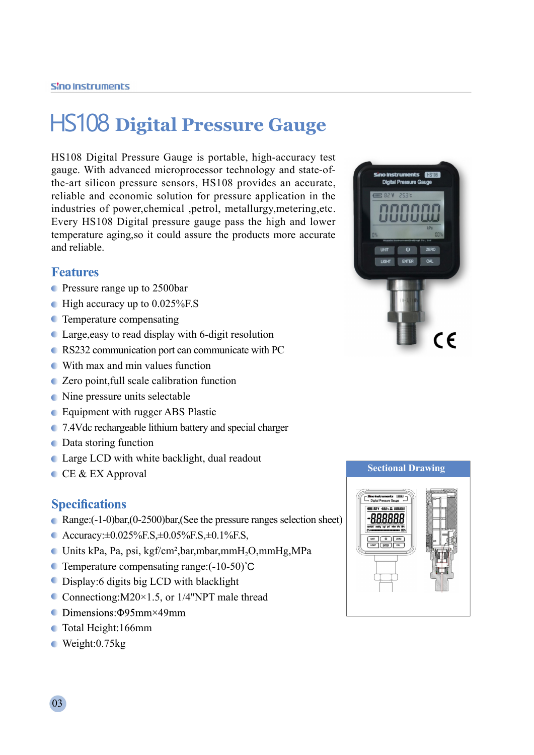# HS108 **Digital Pressure Gauge**

HS108 Digital Pressure Gauge is portable, high-accuracy test gauge. With advanced microprocessor technology and state-ofthe-art silicon pressure sensors, HS108 provides an accurate, reliable and economic solution for pressure application in the industries of power,chemical ,petrol, metallurgy,metering,etc. Every HS108 Digital pressure gauge pass the high and lower temperature aging,so it could assure the products more accurate and reliable.

### **Features**

- Pressure range up to 2500bar
- $\bullet$  High accuracy up to 0.025% F.S
- **C** Temperature compensating
- Large,easy to read display with 6-digit resolution
- RS232 communication port can communicate with PC
- With max and min values function
- Zero point,full scale calibration function
- Nine pressure units selectable
- **Equipment with rugger ABS Plastic**
- 7.4Vdc rechargeable lithium battery and special charger
- Data storing function
- Large LCD with white backlight, dual readout
- $C$ EX Approval

#### **Specifications**

- Range:(-1-0)bar,(0-2500)bar,(See the pressure ranges selection sheet)
- Accuracy: $\pm 0.025\%$ F.S, $\pm 0.05\%$ F.S, $\pm 0.1\%$ F.S,
- Units kPa, Pa, psi, kgf/cm²,bar,mbar,mmH2O,mmHg,MPa
- **C** Temperature compensating range: $(-10-50)$ °C
- Display:6 digits big LCD with blacklight
- Connectiong: $M20\times1.5$ , or 1/4"NPT male thread
- $\bullet$  Dimensions: $\Phi$ 95mm×49mm
- Total Height:166mm
- Weight:0.75kg





03